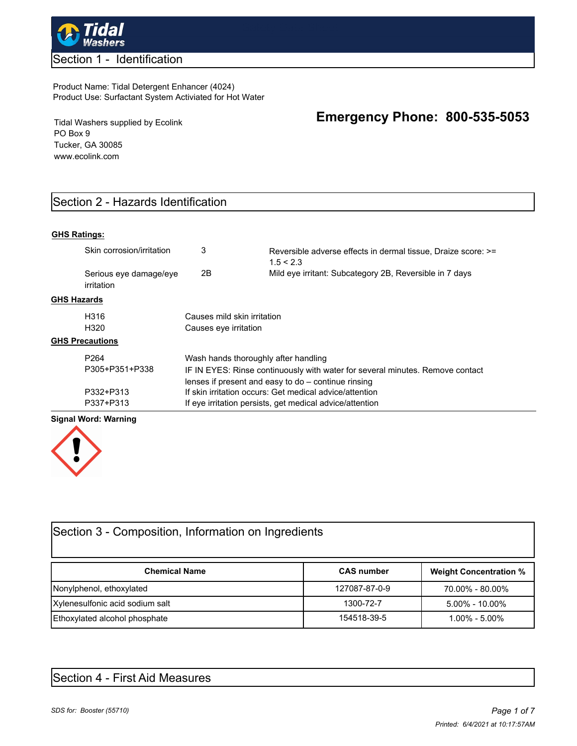

## Section 1 - Identification

#### Product Name: Tidal Detergent Enhancer (4024) Product Use: Surfactant System Activiated for Hot Water

Tidal Washers supplied by Ecolink PO Box 9 Tucker, GA 30085 www.ecolink.com

# Section 2 - Hazards Identification

## **GHS Ratings:**

| Skin corrosion/irritation            | 3                                                                             | Reversible adverse effects in dermal tissue, Draize score: >=<br>1.5 < 2.3 |  |
|--------------------------------------|-------------------------------------------------------------------------------|----------------------------------------------------------------------------|--|
| Serious eye damage/eye<br>irritation | 2B                                                                            | Mild eye irritant: Subcategory 2B, Reversible in 7 days                    |  |
| <b>GHS Hazards</b>                   |                                                                               |                                                                            |  |
| H316                                 | Causes mild skin irritation                                                   |                                                                            |  |
| H <sub>320</sub>                     | Causes eye irritation                                                         |                                                                            |  |
| <b>GHS Precautions</b>               |                                                                               |                                                                            |  |
| P <sub>264</sub>                     | Wash hands thoroughly after handling                                          |                                                                            |  |
| P305+P351+P338                       | IF IN EYES: Rinse continuously with water for several minutes. Remove contact |                                                                            |  |
|                                      |                                                                               | lenses if present and easy to do – continue rinsing                        |  |
| P332+P313                            | If skin irritation occurs: Get medical advice/attention                       |                                                                            |  |
| P337+P313                            | If eye irritation persists, get medical advice/attention                      |                                                                            |  |

#### **Signal Word: Warning**



| Section 3 - Composition, Information on Ingredients |                   |                               |  |
|-----------------------------------------------------|-------------------|-------------------------------|--|
| <b>Chemical Name</b>                                | <b>CAS number</b> | <b>Weight Concentration %</b> |  |
| Nonylphenol, ethoxylated                            | 127087-87-0-9     | 70.00% - 80.00%               |  |
| Xylenesulfonic acid sodium salt                     | 1300-72-7         | $5.00\% - 10.00\%$            |  |
| Ethoxylated alcohol phosphate                       | 154518-39-5       | $1.00\% - 5.00\%$             |  |

# Section 4 - First Aid Measures

**Emergency Phone: 800-535-5053**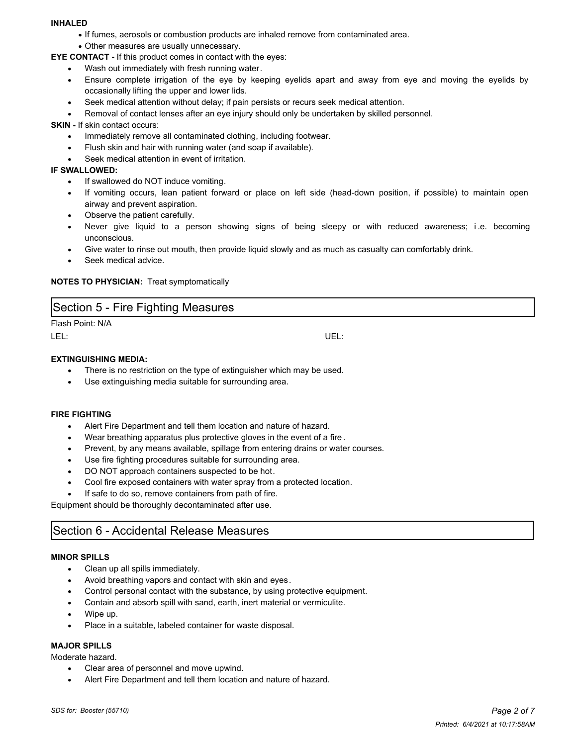#### **INHALED**

- · If fumes, aerosols or combustion products are inhaled remove from contaminated area.
- · Other measures are usually unnecessary.
- **EYE CONTACT** If this product comes in contact with the eyes:
	- Wash out immediately with fresh running water.
	- · Ensure complete irrigation of the eye by keeping eyelids apart and away from eye and moving the eyelids by occasionally lifting the upper and lower lids.
	- Seek medical attention without delay; if pain persists or recurs seek medical attention.
	- Removal of contact lenses after an eye injury should only be undertaken by skilled personnel.

**SKIN - If skin contact occurs:** 

- Immediately remove all contaminated clothing, including footwear.
- · Flush skin and hair with running water (and soap if available).
- Seek medical attention in event of irritation.

#### **IF SWALLOWED:**

- · If swallowed do NOT induce vomiting.
- If vomiting occurs, lean patient forward or place on left side (head-down position, if possible) to maintain open airway and prevent aspiration.
- · Observe the patient carefully.
- Never give liquid to a person showing signs of being sleepy or with reduced awareness; i.e. becoming unconscious.
- Give water to rinse out mouth, then provide liquid slowly and as much as casualty can comfortably drink.
- Seek medical advice.

#### **NOTES TO PHYSICIAN:** Treat symptomatically

| Section 5 - Fire Fighting Measures |  |  |  |  |  |
|------------------------------------|--|--|--|--|--|
|------------------------------------|--|--|--|--|--|

Flash Point: N/A LEL: UEL:

#### **EXTINGUISHING MEDIA:**

- There is no restriction on the type of extinguisher which may be used.
- Use extinguishing media suitable for surrounding area.

#### **FIRE FIGHTING**

- · Alert Fire Department and tell them location and nature of hazard.
- · Wear breathing apparatus plus protective gloves in the event of a fire .
- Prevent, by any means available, spillage from entering drains or water courses.
- Use fire fighting procedures suitable for surrounding area.
- DO NOT approach containers suspected to be hot.
- Cool fire exposed containers with water spray from a protected location.
- If safe to do so, remove containers from path of fire.

Equipment should be thoroughly decontaminated after use.

# Section 6 - Accidental Release Measures

#### **MINOR SPILLS**

- · Clean up all spills immediately.
- Avoid breathing vapors and contact with skin and eyes.
- Control personal contact with the substance, by using protective equipment.
- · Contain and absorb spill with sand, earth, inert material or vermiculite.
- · Wipe up.
- Place in a suitable, labeled container for waste disposal.

## **MAJOR SPILLS**

Moderate hazard.

- · Clear area of personnel and move upwind.
- Alert Fire Department and tell them location and nature of hazard.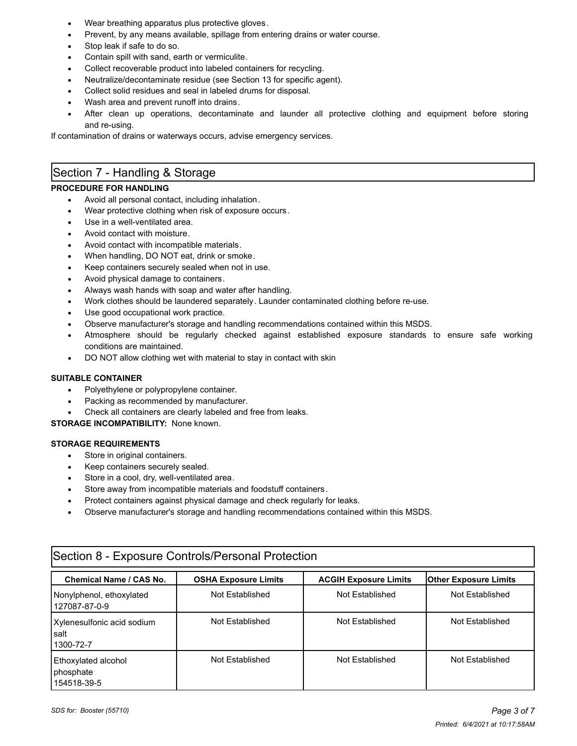- Wear breathing apparatus plus protective gloves.
- Prevent, by any means available, spillage from entering drains or water course.
- Stop leak if safe to do so.
- Contain spill with sand, earth or vermiculite.
- Collect recoverable product into labeled containers for recycling.
- Neutralize/decontaminate residue (see Section 13 for specific agent).
- Collect solid residues and seal in labeled drums for disposal.
- Wash area and prevent runoff into drains.
- After clean up operations, decontaminate and launder all protective clothing and equipment before storing and re-using.

If contamination of drains or waterways occurs, advise emergency services.

# Section 7 - Handling & Storage

## **PROCEDURE FOR HANDLING**

- Avoid all personal contact, including inhalation.
- Wear protective clothing when risk of exposure occurs.
- Use in a well-ventilated area.
- Avoid contact with moisture.
- Avoid contact with incompatible materials.
- When handling, DO NOT eat, drink or smoke.
- Keep containers securely sealed when not in use.
- Avoid physical damage to containers.
- Always wash hands with soap and water after handling.
- · Work clothes should be laundered separately. Launder contaminated clothing before re-use.
- Use good occupational work practice.
- · Observe manufacturer's storage and handling recommendations contained within this MSDS.
- Atmosphere should be regularly checked against established exposure standards to ensure safe working conditions are maintained.
- DO NOT allow clothing wet with material to stay in contact with skin

#### **SUITABLE CONTAINER**

- Polyethylene or polypropylene container.
- Packing as recommended by manufacturer.
- Check all containers are clearly labeled and free from leaks.

**STORAGE INCOMPATIBILITY:** None known.

### **STORAGE REQUIREMENTS**

- · Store in original containers.
- Keep containers securely sealed.
- Store in a cool, dry, well-ventilated area.
- Store away from incompatible materials and foodstuff containers.
- · Protect containers against physical damage and check regularly for leaks.
- · Observe manufacturer's storage and handling recommendations contained within this MSDS.

| pootion o Exposure controller credituri retouten  |                             |                              |                              |  |
|---------------------------------------------------|-----------------------------|------------------------------|------------------------------|--|
| <b>Chemical Name / CAS No.</b>                    | <b>OSHA Exposure Limits</b> | <b>ACGIH Exposure Limits</b> | <b>Other Exposure Limits</b> |  |
| Nonylphenol, ethoxylated<br>127087-87-0-9         | Not Established             | Not Established              | Not Established              |  |
| Xylenesulfonic acid sodium<br>l salt<br>1300-72-7 | Not Established             | Not Established              | Not Established              |  |
| Ethoxylated alcohol<br>phosphate<br>154518-39-5   | Not Established             | Not Established              | Not Established              |  |

# Section 8 - Exposure Controls/Personal Protection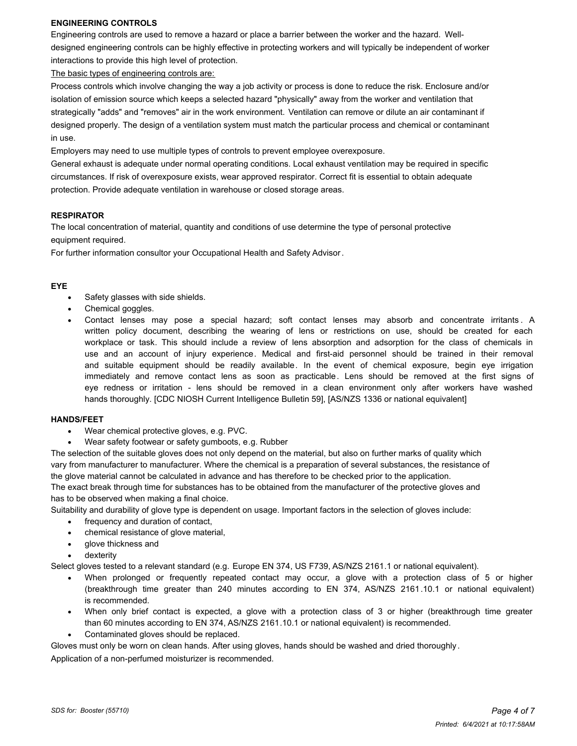#### **ENGINEERING CONTROLS**

Engineering controls are used to remove a hazard or place a barrier between the worker and the hazard. Welldesigned engineering controls can be highly effective in protecting workers and will typically be independent of worker interactions to provide this high level of protection.

The basic types of engineering controls are:

Process controls which involve changing the way a job activity or process is done to reduce the risk. Enclosure and/or isolation of emission source which keeps a selected hazard "physically" away from the worker and ventilation that strategically "adds" and "removes" air in the work environment. Ventilation can remove or dilute an air contaminant if designed properly. The design of a ventilation system must match the particular process and chemical or contaminant in use.

Employers may need to use multiple types of controls to prevent employee overexposure.

General exhaust is adequate under normal operating conditions. Local exhaust ventilation may be required in specific circumstances. If risk of overexposure exists, wear approved respirator. Correct fit is essential to obtain adequate protection. Provide adequate ventilation in warehouse or closed storage areas.

#### **RESPIRATOR**

The local concentration of material, quantity and conditions of use determine the type of personal protective equipment required.

For further information consultor your Occupational Health and Safety Advisor.

#### **EYE**

- Safety glasses with side shields.
- Chemical goggles.
- Contact lenses may pose a special hazard; soft contact lenses may absorb and concentrate irritants. A written policy document, describing the wearing of lens or restrictions on use, should be created for each workplace or task. This should include a review of lens absorption and adsorption for the class of chemicals in use and an account of injury experience. Medical and first-aid personnel should be trained in their removal and suitable equipment should be readily available. In the event of chemical exposure, begin eye irrigation immediately and remove contact lens as soon as practicable. Lens should be removed at the first signs of eye redness or irritation - lens should be removed in a clean environment only after workers have washed hands thoroughly. [CDC NIOSH Current Intelligence Bulletin 59], [AS/NZS 1336 or national equivalent]

#### **HANDS/FEET**

- Wear chemical protective gloves, e.g. PVC.
- Wear safety footwear or safety gumboots, e.g. Rubber

The selection of the suitable gloves does not only depend on the material, but also on further marks of quality which vary from manufacturer to manufacturer. Where the chemical is a preparation of several substances, the resistance of the glove material cannot be calculated in advance and has therefore to be checked prior to the application.

The exact break through time for substances has to be obtained from the manufacturer of the protective gloves and has to be observed when making a final choice.

Suitability and durability of glove type is dependent on usage. Important factors in the selection of gloves include:

- frequency and duration of contact,
- chemical resistance of glove material,
- glove thickness and
- dexterity

Select gloves tested to a relevant standard (e.g. Europe EN 374, US F739, AS/NZS 2161.1 or national equivalent).

- When prolonged or frequently repeated contact may occur, a glove with a protection class of 5 or higher (breakthrough time greater than 240 minutes according to EN 374, AS/NZS 2161.10.1 or national equivalent) is recommended.
- When only brief contact is expected, a glove with a protection class of 3 or higher (breakthrough time greater than 60 minutes according to EN 374, AS/NZS 2161.10.1 or national equivalent) is recommended.
- Contaminated gloves should be replaced.

Gloves must only be worn on clean hands. After using gloves, hands should be washed and dried thoroughly .

Application of a non-perfumed moisturizer is recommended.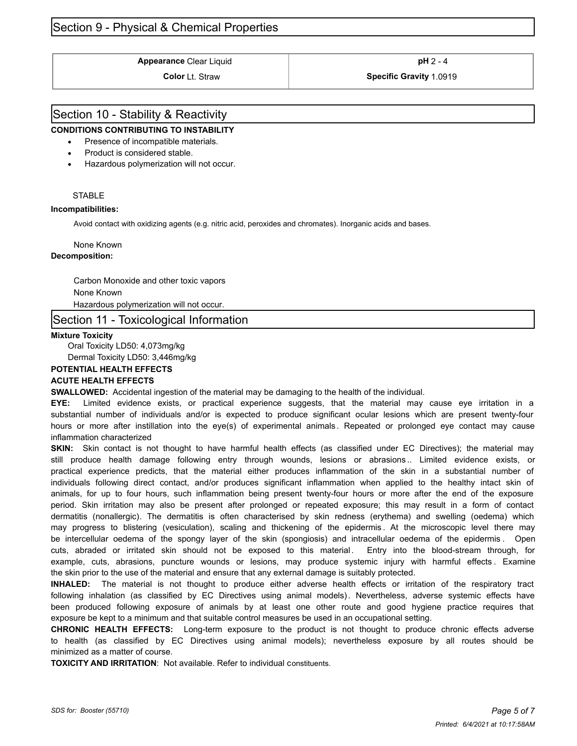# Section 9 - Physical & Chemical Properties

**Appearance** Clear Liquid **and Clear 1 pH** 2 - 4

**Color** Lt. Straw **Specific Gravity** 1.0919

# Section 10 - Stability & Reactivity

### **CONDITIONS CONTRIBUTING TO INSTABILITY**

- · Presence of incompatible materials.
- Product is considered stable.
- · Hazardous polymerization will not occur.

#### **STABLE**

#### **Incompatibilities:**

Avoid contact with oxidizing agents (e.g. nitric acid, peroxides and chromates). Inorganic acids and bases.

#### None Known

#### **Decomposition:**

Carbon Monoxide and other toxic vapors None Known Hazardous polymerization will not occur.

## Section 11 - Toxicological Information

#### **Mixture Toxicity**

Oral Toxicity LD50: 4,073mg/kg Dermal Toxicity LD50: 3,446mg/kg

#### **POTENTIAL HEALTH EFFECTS**

#### **ACUTE HEALTH EFFECTS**

**SWALLOWED:** Accidental ingestion of the material may be damaging to the health of the individual.

**EYE:** Limited evidence exists, or practical experience suggests, that the material may cause eye irritation in a substantial number of individuals and/or is expected to produce significant ocular lesions which are present twenty-four hours or more after instillation into the eye(s) of experimental animals . Repeated or prolonged eye contact may cause inflammation characterized

**SKIN:** Skin contact is not thought to have harmful health effects (as classified under EC Directives); the material may still produce health damage following entry through wounds, lesions or abrasions .. Limited evidence exists, or practical experience predicts, that the material either produces inflammation of the skin in a substantial number of individuals following direct contact, and/or produces significant inflammation when applied to the healthy intact skin of animals, for up to four hours, such inflammation being present twenty-four hours or more after the end of the exposure period. Skin irritation may also be present after prolonged or repeated exposure; this may result in a form of contact dermatitis (nonallergic). The dermatitis is often characterised by skin redness (erythema) and swelling (oedema) which may progress to blistering (vesiculation), scaling and thickening of the epidermis . At the microscopic level there may be intercellular oedema of the spongy layer of the skin (spongiosis) and intracellular oedema of the epidermis . Open cuts, abraded or irritated skin should not be exposed to this material. Entry into the blood-stream through, for example, cuts, abrasions, puncture wounds or lesions, may produce systemic injury with harmful effects . Examine the skin prior to the use of the material and ensure that any external damage is suitably protected.

**INHALED:** The material is not thought to produce either adverse health effects or irritation of the respiratory tract following inhalation (as classified by EC Directives using animal models). Nevertheless, adverse systemic effects have been produced following exposure of animals by at least one other route and good hygiene practice requires that exposure be kept to a minimum and that suitable control measures be used in an occupational setting.

**CHRONIC HEALTH EFFECTS:** Long-term exposure to the product is not thought to produce chronic effects adverse to health (as classified by EC Directives using animal models); nevertheless exposure by all routes should be minimized as a matter of course.

**TOXICITY AND IRRITATION**: Not available. Refer to individual constituents.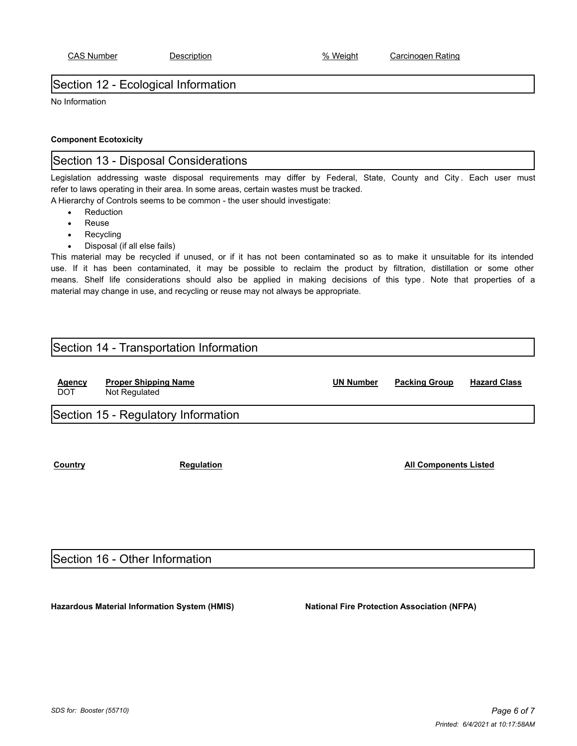# Section 12 - Ecological Information

No Information

### **Component Ecotoxicity**

# Section 13 - Disposal Considerations

Legislation addressing waste disposal requirements may differ by Federal, State, County and City. Each user must refer to laws operating in their area. In some areas, certain wastes must be tracked.

A Hierarchy of Controls seems to be common - the user should investigate:

- **Reduction**
- **Reuse**
- **Recycling**
- Disposal (if all else fails)

This material may be recycled if unused, or if it has not been contaminated so as to make it unsuitable for its intended use. If it has been contaminated, it may be possible to reclaim the product by filtration, distillation or some other means. Shelf life considerations should also be applied in making decisions of this type . Note that properties of a material may change in use, and recycling or reuse may not always be appropriate.

# Section 14 - Transportation Information

| <b>Agency</b><br><b>DOT</b> | <b>Proper Shipping Name</b><br>Not Regulated | <b>UN Number</b> | <b>Packing Group</b>         | <b>Hazard Class</b> |
|-----------------------------|----------------------------------------------|------------------|------------------------------|---------------------|
|                             | Section 15 - Regulatory Information          |                  |                              |                     |
|                             |                                              |                  |                              |                     |
|                             |                                              |                  |                              |                     |
| Country                     | <b>Regulation</b>                            |                  | <b>All Components Listed</b> |                     |

# Section 16 - Other Information

**Hazardous Material Information System (HMIS) National Fire Protection Association (NFPA)**